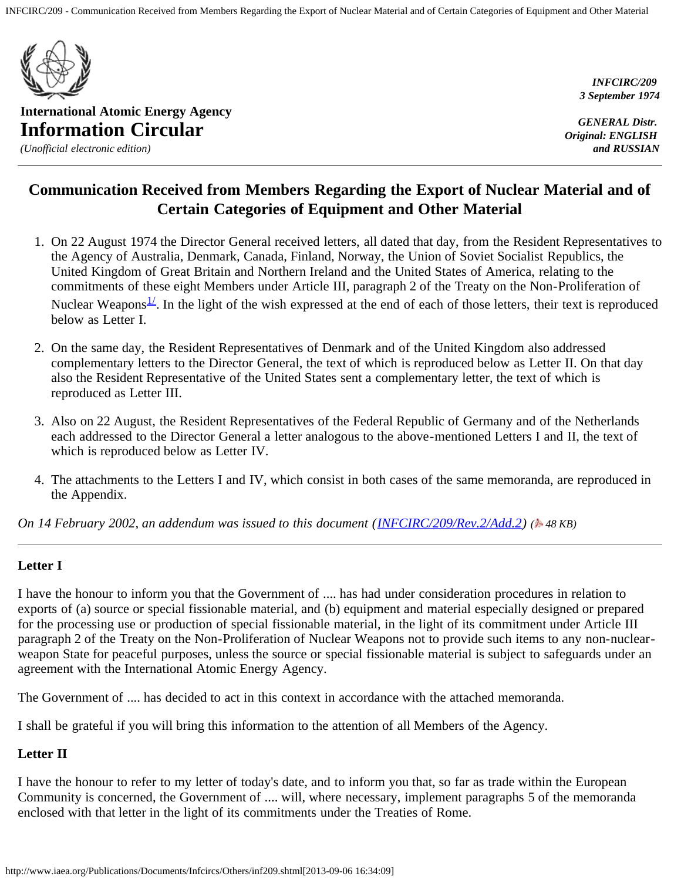INFCIRC/209 - Communication Received from Members Regarding the Export of Nuclear Material and of Certain Categories of Equipment and Other Material



**International Atomic Energy Agency Information Circular**

*(Unofficial electronic edition)*

*INFCIRC/209 3 September 1974*

*GENERAL Distr. Original: ENGLISH and RUSSIAN*

# **Communication Received from Members Regarding the Export of Nuclear Material and of Certain Categories of Equipment and Other Material**

- 1. On 22 August 1974 the Director General received letters, all dated that day, from the Resident Representatives to the Agency of Australia, Denmark, Canada, Finland, Norway, the Union of Soviet Socialist Republics, the United Kingdom of Great Britain and Northern Ireland and the United States of America, relating to the commitments of these eight Members under Article III, paragraph 2 of the Treaty on the Non-Proliferation of Nuclear Weapons<sup>[1/](#page-6-0)</sup>. In the light of the wish expressed at the end of each of those letters, their text is reproduced below as Letter I.
- 2. On the same day, the Resident Representatives of Denmark and of the United Kingdom also addressed complementary letters to the Director General, the text of which is reproduced below as Letter II. On that day also the Resident Representative of the United States sent a complementary letter, the text of which is reproduced as Letter III.
- 3. Also on 22 August, the Resident Representatives of the Federal Republic of Germany and of the Netherlands each addressed to the Director General a letter analogous to the above-mentioned Letters I and II, the text of which is reproduced below as Letter IV.
- 4. The attachments to the Letters I and IV, which consist in both cases of the same memoranda, are reproduced in the Appendix.

*On 14 February 2002, an addendum was issued to this document ([INFCIRC/209/Rev.2/Add.2\)](http://www.iaea.org/Publications/Documents/Infcircs/2002/infcirc209r2a2.pdf) ( 48 KB)*

# **Letter I**

I have the honour to inform you that the Government of .... has had under consideration procedures in relation to exports of (a) source or special fissionable material, and (b) equipment and material especially designed or prepared for the processing use or production of special fissionable material, in the light of its commitment under Article III paragraph 2 of the Treaty on the Non-Proliferation of Nuclear Weapons not to provide such items to any non-nuclearweapon State for peaceful purposes, unless the source or special fissionable material is subject to safeguards under an agreement with the International Atomic Energy Agency.

The Government of .... has decided to act in this context in accordance with the attached memoranda.

I shall be grateful if you will bring this information to the attention of all Members of the Agency.

# **Letter II**

I have the honour to refer to my letter of today's date, and to inform you that, so far as trade within the European Community is concerned, the Government of .... will, where necessary, implement paragraphs 5 of the memoranda enclosed with that letter in the light of its commitments under the Treaties of Rome.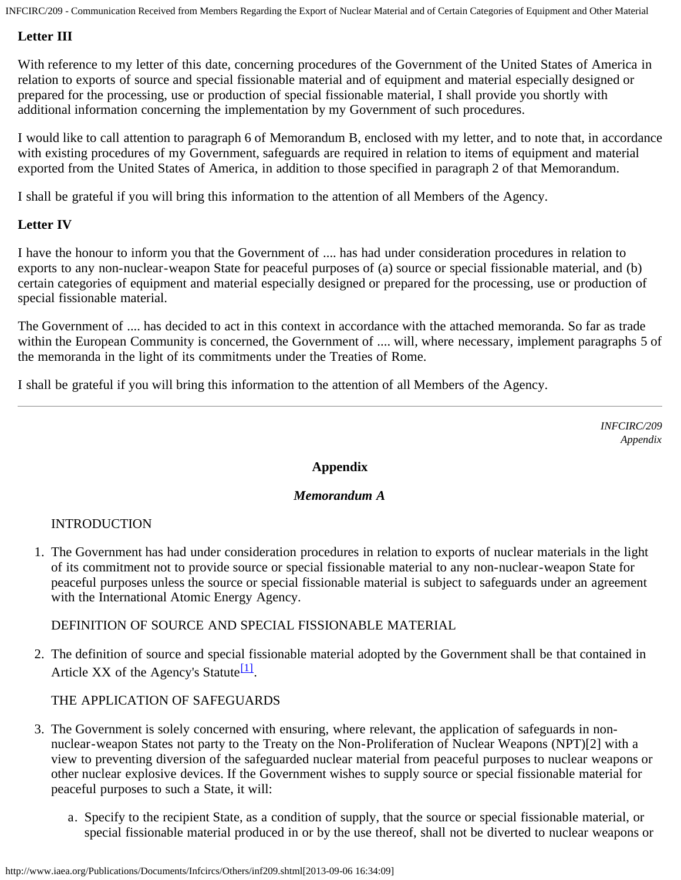INFCIRC/209 - Communication Received from Members Regarding the Export of Nuclear Material and of Certain Categories of Equipment and Other Material

# **Letter III**

With reference to my letter of this date, concerning procedures of the Government of the United States of America in relation to exports of source and special fissionable material and of equipment and material especially designed or prepared for the processing, use or production of special fissionable material, I shall provide you shortly with additional information concerning the implementation by my Government of such procedures.

I would like to call attention to paragraph 6 of Memorandum B, enclosed with my letter, and to note that, in accordance with existing procedures of my Government, safeguards are required in relation to items of equipment and material exported from the United States of America, in addition to those specified in paragraph 2 of that Memorandum.

I shall be grateful if you will bring this information to the attention of all Members of the Agency.

# **Letter IV**

I have the honour to inform you that the Government of .... has had under consideration procedures in relation to exports to any non-nuclear-weapon State for peaceful purposes of (a) source or special fissionable material, and (b) certain categories of equipment and material especially designed or prepared for the processing, use or production of special fissionable material.

The Government of .... has decided to act in this context in accordance with the attached memoranda. So far as trade within the European Community is concerned, the Government of .... will, where necessary, implement paragraphs 5 of the memoranda in the light of its commitments under the Treaties of Rome.

I shall be grateful if you will bring this information to the attention of all Members of the Agency.

*INFCIRC/209 Appendix*

# **Appendix**

#### *Memorandum A*

# INTRODUCTION

1. The Government has had under consideration procedures in relation to exports of nuclear materials in the light of its commitment not to provide source or special fissionable material to any non-nuclear-weapon State for peaceful purposes unless the source or special fissionable material is subject to safeguards under an agreement with the International Atomic Energy Agency.

# DEFINITION OF SOURCE AND SPECIAL FISSIONABLE MATERIAL

2. The definition of source and special fissionable material adopted by the Government shall be that contained in Article XX of the Agency's Statute<sup>[\[1\]](#page-6-1)</sup>.

# THE APPLICATION OF SAFEGUARDS

- 3. The Government is solely concerned with ensuring, where relevant, the application of safeguards in nonnuclear-weapon States not party to the Treaty on the Non-Proliferation of Nuclear Weapons (NPT)[2] with a view to preventing diversion of the safeguarded nuclear material from peaceful purposes to nuclear weapons or other nuclear explosive devices. If the Government wishes to supply source or special fissionable material for peaceful purposes to such a State, it will:
	- a. Specify to the recipient State, as a condition of supply, that the source or special fissionable material, or special fissionable material produced in or by the use thereof, shall not be diverted to nuclear weapons or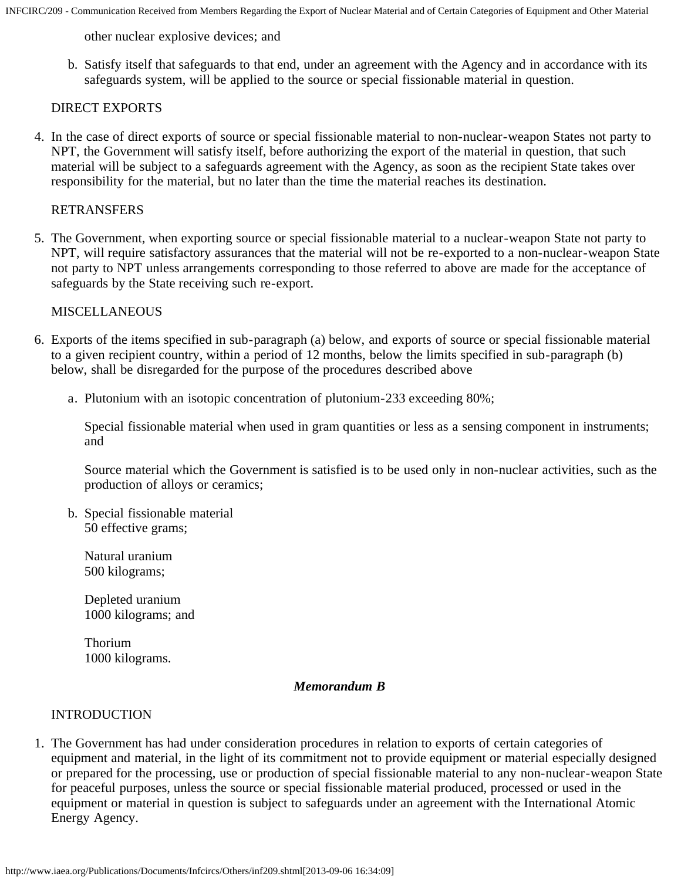other nuclear explosive devices; and

b. Satisfy itself that safeguards to that end, under an agreement with the Agency and in accordance with its safeguards system, will be applied to the source or special fissionable material in question.

### DIRECT EXPORTS

4. In the case of direct exports of source or special fissionable material to non-nuclear-weapon States not party to NPT, the Government will satisfy itself, before authorizing the export of the material in question, that such material will be subject to a safeguards agreement with the Agency, as soon as the recipient State takes over responsibility for the material, but no later than the time the material reaches its destination.

#### RETRANSFERS

5. The Government, when exporting source or special fissionable material to a nuclear-weapon State not party to NPT, will require satisfactory assurances that the material will not be re-exported to a non-nuclear-weapon State not party to NPT unless arrangements corresponding to those referred to above are made for the acceptance of safeguards by the State receiving such re-export.

### MISCELLANEOUS

- 6. Exports of the items specified in sub-paragraph (a) below, and exports of source or special fissionable material to a given recipient country, within a period of 12 months, below the limits specified in sub-paragraph (b) below, shall be disregarded for the purpose of the procedures described above
	- a. Plutonium with an isotopic concentration of plutonium-233 exceeding 80%;

Special fissionable material when used in gram quantities or less as a sensing component in instruments; and

Source material which the Government is satisfied is to be used only in non-nuclear activities, such as the production of alloys or ceramics;

b. Special fissionable material 50 effective grams;

Natural uranium 500 kilograms;

Depleted uranium 1000 kilograms; and

Thorium 1000 kilograms.

### *Memorandum B*

# INTRODUCTION

1. The Government has had under consideration procedures in relation to exports of certain categories of equipment and material, in the light of its commitment not to provide equipment or material especially designed or prepared for the processing, use or production of special fissionable material to any non-nuclear-weapon State for peaceful purposes, unless the source or special fissionable material produced, processed or used in the equipment or material in question is subject to safeguards under an agreement with the International Atomic Energy Agency.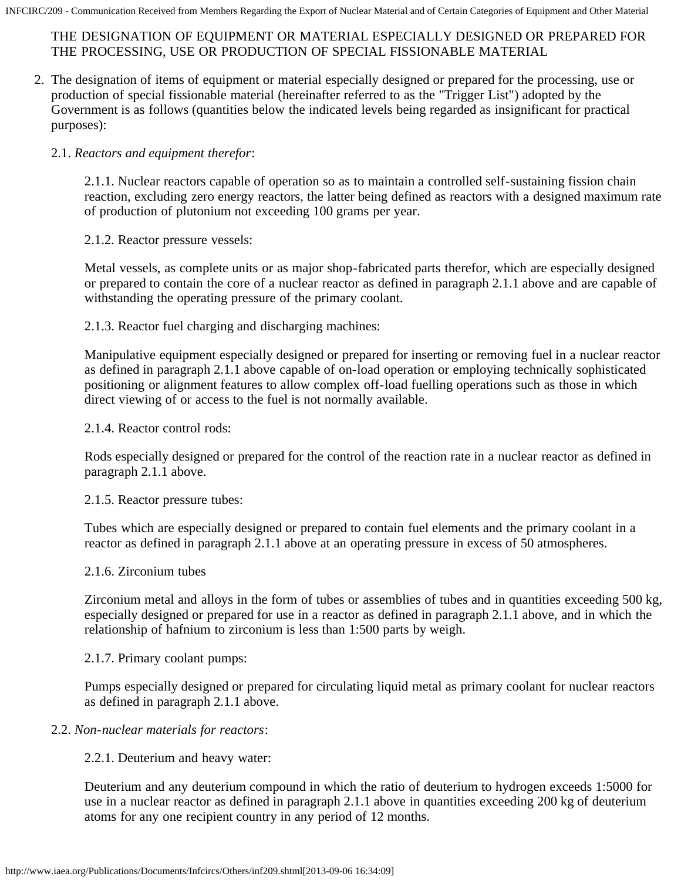# THE DESIGNATION OF EQUIPMENT OR MATERIAL ESPECIALLY DESIGNED OR PREPARED FOR THE PROCESSING, USE OR PRODUCTION OF SPECIAL FISSIONABLE MATERIAL

2. The designation of items of equipment or material especially designed or prepared for the processing, use or production of special fissionable material (hereinafter referred to as the "Trigger List") adopted by the Government is as follows (quantities below the indicated levels being regarded as insignificant for practical purposes):

2.1. *Reactors and equipment therefor*:

2.1.1. Nuclear reactors capable of operation so as to maintain a controlled self-sustaining fission chain reaction, excluding zero energy reactors, the latter being defined as reactors with a designed maximum rate of production of plutonium not exceeding 100 grams per year.

2.1.2. Reactor pressure vessels:

Metal vessels, as complete units or as major shop-fabricated parts therefor, which are especially designed or prepared to contain the core of a nuclear reactor as defined in paragraph 2.1.1 above and are capable of withstanding the operating pressure of the primary coolant.

2.1.3. Reactor fuel charging and discharging machines:

Manipulative equipment especially designed or prepared for inserting or removing fuel in a nuclear reactor as defined in paragraph 2.1.1 above capable of on-load operation or employing technically sophisticated positioning or alignment features to allow complex off-load fuelling operations such as those in which direct viewing of or access to the fuel is not normally available.

2.1.4. Reactor control rods:

Rods especially designed or prepared for the control of the reaction rate in a nuclear reactor as defined in paragraph 2.1.1 above.

2.1.5. Reactor pressure tubes:

Tubes which are especially designed or prepared to contain fuel elements and the primary coolant in a reactor as defined in paragraph 2.1.1 above at an operating pressure in excess of 50 atmospheres.

# 2.1.6. Zirconium tubes

Zirconium metal and alloys in the form of tubes or assemblies of tubes and in quantities exceeding 500 kg, especially designed or prepared for use in a reactor as defined in paragraph 2.1.1 above, and in which the relationship of hafnium to zirconium is less than 1:500 parts by weigh.

2.1.7. Primary coolant pumps:

Pumps especially designed or prepared for circulating liquid metal as primary coolant for nuclear reactors as defined in paragraph 2.1.1 above.

# 2.2. *Non-nuclear materials for reactors*:

2.2.1. Deuterium and heavy water:

Deuterium and any deuterium compound in which the ratio of deuterium to hydrogen exceeds 1:5000 for use in a nuclear reactor as defined in paragraph 2.1.1 above in quantities exceeding 200 kg of deuterium atoms for any one recipient country in any period of 12 months.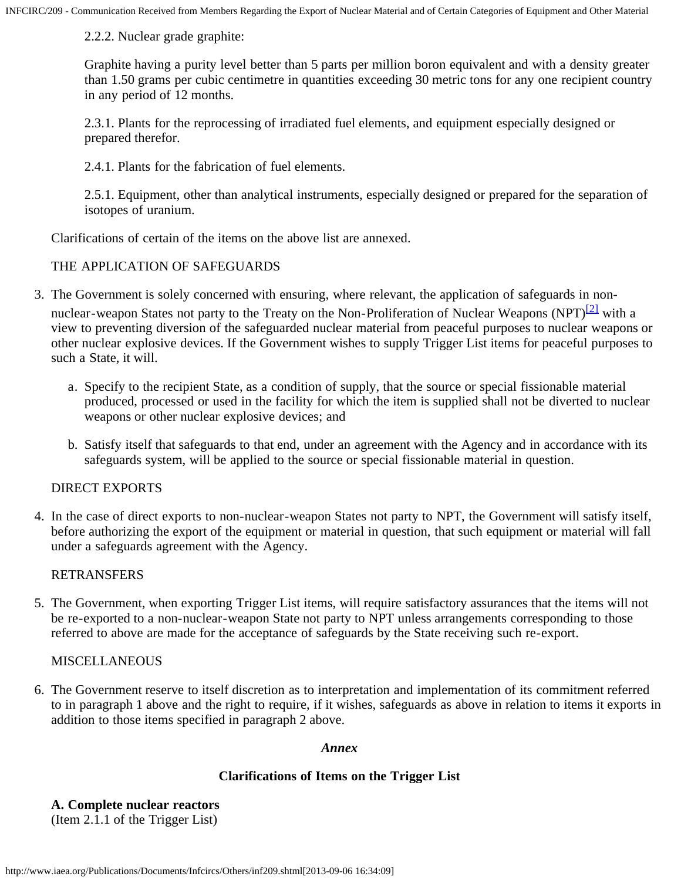2.2.2. Nuclear grade graphite:

Graphite having a purity level better than 5 parts per million boron equivalent and with a density greater than 1.50 grams per cubic centimetre in quantities exceeding 30 metric tons for any one recipient country in any period of 12 months.

2.3.1. Plants for the reprocessing of irradiated fuel elements, and equipment especially designed or prepared therefor.

2.4.1. Plants for the fabrication of fuel elements.

2.5.1. Equipment, other than analytical instruments, especially designed or prepared for the separation of isotopes of uranium.

Clarifications of certain of the items on the above list are annexed.

# THE APPLICATION OF SAFEGUARDS

- 3. The Government is solely concerned with ensuring, where relevant, the application of safeguards in nonnuclear-weapon States not party to the Treaty on the Non-Proliferation of Nuclear Weapons (NPT)<sup>[2]</sup> with a view to preventing diversion of the safeguarded nuclear material from peaceful purposes to nuclear weapons or other nuclear explosive devices. If the Government wishes to supply Trigger List items for peaceful purposes to such a State, it will.
	- a. Specify to the recipient State, as a condition of supply, that the source or special fissionable material produced, processed or used in the facility for which the item is supplied shall not be diverted to nuclear weapons or other nuclear explosive devices; and
	- b. Satisfy itself that safeguards to that end, under an agreement with the Agency and in accordance with its safeguards system, will be applied to the source or special fissionable material in question.

# DIRECT EXPORTS

4. In the case of direct exports to non-nuclear-weapon States not party to NPT, the Government will satisfy itself, before authorizing the export of the equipment or material in question, that such equipment or material will fall under a safeguards agreement with the Agency.

#### RETRANSFERS

5. The Government, when exporting Trigger List items, will require satisfactory assurances that the items will not be re-exported to a non-nuclear-weapon State not party to NPT unless arrangements corresponding to those referred to above are made for the acceptance of safeguards by the State receiving such re-export.

# MISCELLANEOUS

6. The Government reserve to itself discretion as to interpretation and implementation of its commitment referred to in paragraph 1 above and the right to require, if it wishes, safeguards as above in relation to items it exports in addition to those items specified in paragraph 2 above.

#### *Annex*

#### **Clarifications of Items on the Trigger List**

**A. Complete nuclear reactors** (Item 2.1.1 of the Trigger List)

http://www.iaea.org/Publications/Documents/Infcircs/Others/inf209.shtml[2013-09-06 16:34:09]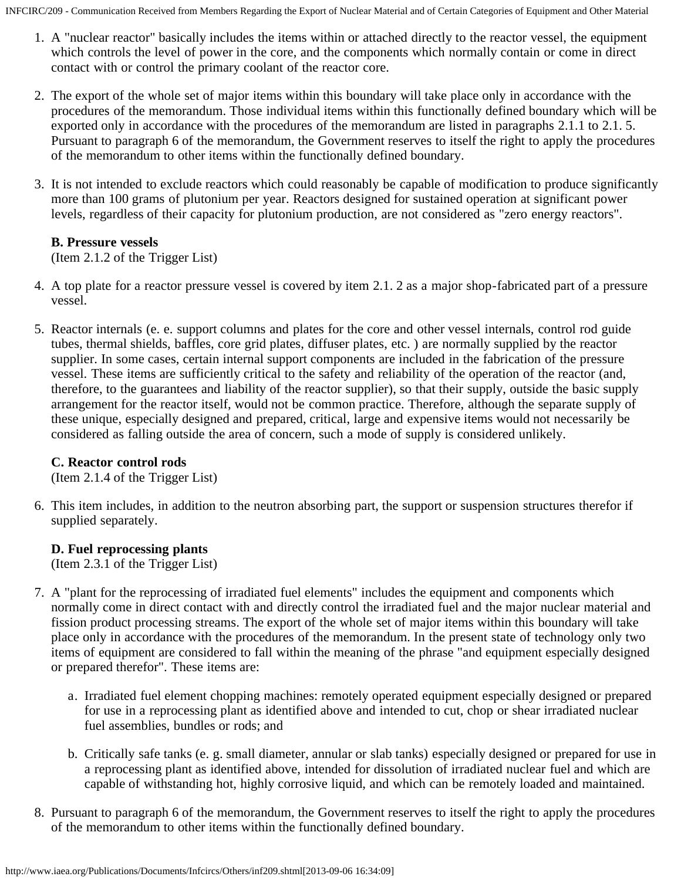INFCIRC/209 - Communication Received from Members Regarding the Export of Nuclear Material and of Certain Categories of Equipment and Other Material

- 1. A "nuclear reactor" basically includes the items within or attached directly to the reactor vessel, the equipment which controls the level of power in the core, and the components which normally contain or come in direct contact with or control the primary coolant of the reactor core.
- 2. The export of the whole set of major items within this boundary will take place only in accordance with the procedures of the memorandum. Those individual items within this functionally defined boundary which will be exported only in accordance with the procedures of the memorandum are listed in paragraphs 2.1.1 to 2.1. 5. Pursuant to paragraph 6 of the memorandum, the Government reserves to itself the right to apply the procedures of the memorandum to other items within the functionally defined boundary.
- 3. It is not intended to exclude reactors which could reasonably be capable of modification to produce significantly more than 100 grams of plutonium per year. Reactors designed for sustained operation at significant power levels, regardless of their capacity for plutonium production, are not considered as "zero energy reactors".

# **B. Pressure vessels**

(Item 2.1.2 of the Trigger List)

- 4. A top plate for a reactor pressure vessel is covered by item 2.1. 2 as a major shop-fabricated part of a pressure vessel.
- 5. Reactor internals (e. e. support columns and plates for the core and other vessel internals, control rod guide tubes, thermal shields, baffles, core grid plates, diffuser plates, etc. ) are normally supplied by the reactor supplier. In some cases, certain internal support components are included in the fabrication of the pressure vessel. These items are sufficiently critical to the safety and reliability of the operation of the reactor (and, therefore, to the guarantees and liability of the reactor supplier), so that their supply, outside the basic supply arrangement for the reactor itself, would not be common practice. Therefore, although the separate supply of these unique, especially designed and prepared, critical, large and expensive items would not necessarily be considered as falling outside the area of concern, such a mode of supply is considered unlikely.

# **C. Reactor control rods**

(Item 2.1.4 of the Trigger List)

6. This item includes, in addition to the neutron absorbing part, the support or suspension structures therefor if supplied separately.

# **D. Fuel reprocessing plants**

(Item 2.3.1 of the Trigger List)

- 7. A "plant for the reprocessing of irradiated fuel elements" includes the equipment and components which normally come in direct contact with and directly control the irradiated fuel and the major nuclear material and fission product processing streams. The export of the whole set of major items within this boundary will take place only in accordance with the procedures of the memorandum. In the present state of technology only two items of equipment are considered to fall within the meaning of the phrase "and equipment especially designed or prepared therefor". These items are:
	- a. Irradiated fuel element chopping machines: remotely operated equipment especially designed or prepared for use in a reprocessing plant as identified above and intended to cut, chop or shear irradiated nuclear fuel assemblies, bundles or rods; and
	- b. Critically safe tanks (e. g. small diameter, annular or slab tanks) especially designed or prepared for use in a reprocessing plant as identified above, intended for dissolution of irradiated nuclear fuel and which are capable of withstanding hot, highly corrosive liquid, and which can be remotely loaded and maintained.
- 8. Pursuant to paragraph 6 of the memorandum, the Government reserves to itself the right to apply the procedures of the memorandum to other items within the functionally defined boundary.